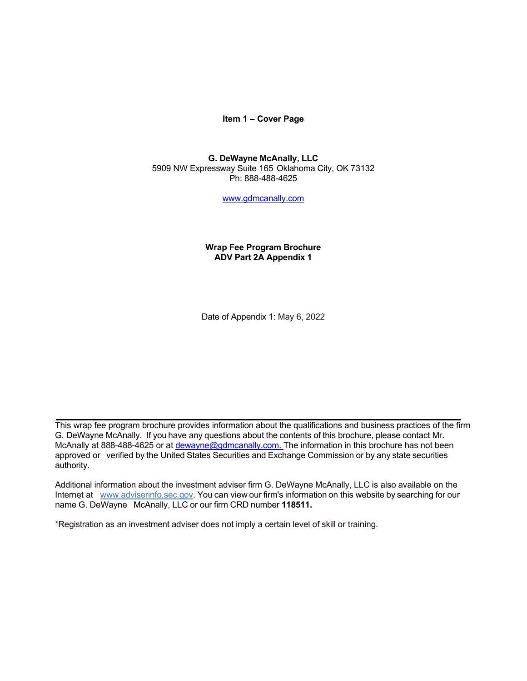**Item 1 – Cover Page**

### **G. DeWayne McAnally, LLC** 5909 NW Expressway Suite 165 Oklahoma City, OK 73132 Ph: 888-488-4625

[www.gdmcanally.com](http://www.gdmcanally.com/)

## **Wrap Fee Program Brochure ADV Part 2A Appendix 1**

Date of Appendix 1: May 6, 2022

This wrap fee program brochure provides information about the qualifications and business practices of the firm G. DeWayne McAnally. If you have any questions about the contents of this brochure, please contact Mr. McAnally at 888-488-4625 or at [dewayne@gdmcanally.com.](mailto:dewayne@gdmcanally.com) The information in this brochure has not been approved or verified by the United States Securities and Exchange Commission or by any state securities authority.

Additional information about the investment adviser firm G. DeWayne McAnally, LLC is also available on the Internet at [www.adviserinfo.sec.gov.](http://www.adviserinfo.sec.gov/) You can view our firm's information on this website by searching for our name G. DeWayne McAnally, LLC or our firm CRD number **118511.**

\*Registration as an investment adviser does not imply a certain level of skill or training.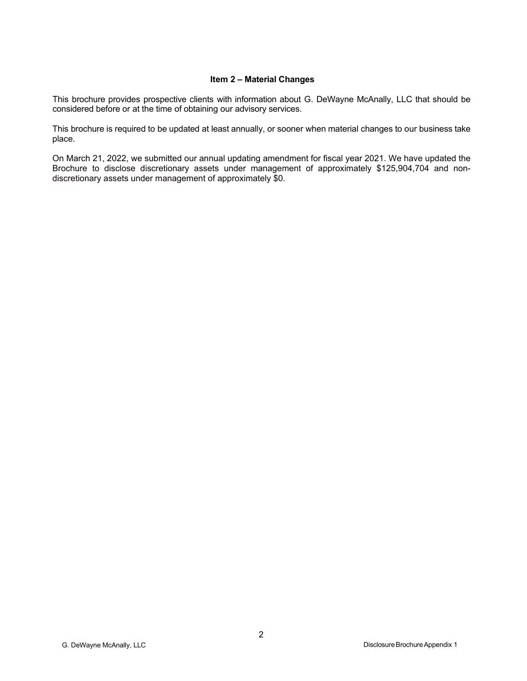### **Item 2 – Material Changes**

<span id="page-1-0"></span>This brochure provides prospective clients with information about G. DeWayne McAnally, LLC that should be considered before or at the time of obtaining our advisory services.

This brochure is required to be updated at least annually, or sooner when material changes to our business take place.

On March 21, 2022, we submitted our annual updating amendment for fiscal year 2021. We have updated the Brochure to disclose discretionary assets under management of approximately \$125,904,704 and nondiscretionary assets under management of approximately \$0.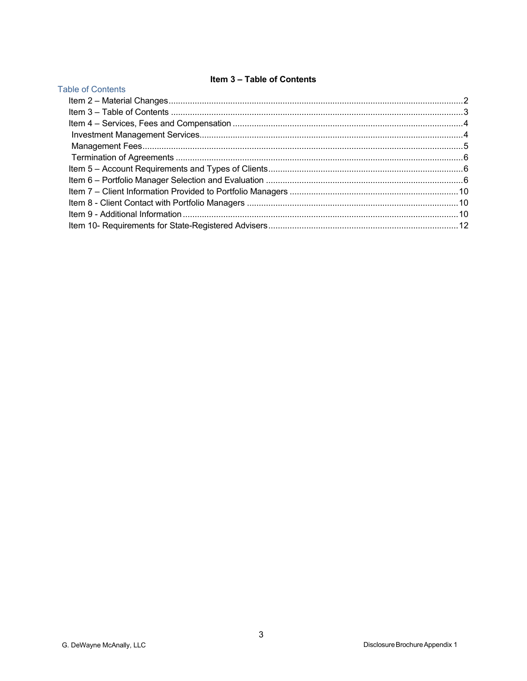# Item 3 - Table of Contents

<span id="page-2-0"></span>

| <b>Table of Contents</b> |  |  |  |  |
|--------------------------|--|--|--|--|
|                          |  |  |  |  |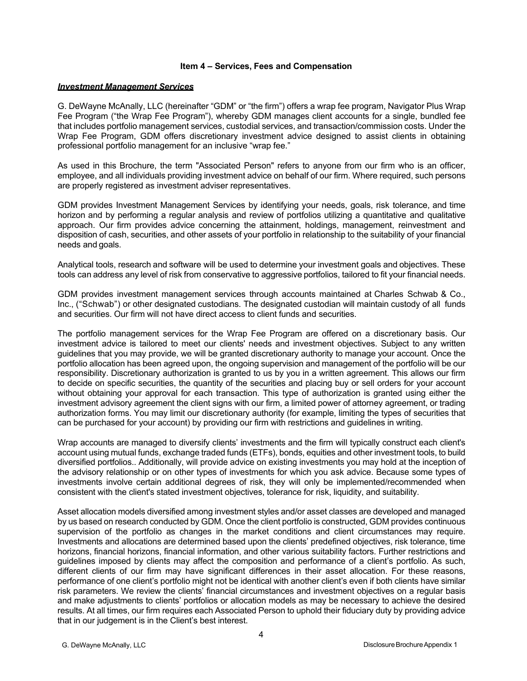#### **Item 4 – Services, Fees and Compensation**

#### <span id="page-3-1"></span><span id="page-3-0"></span>*Investment Management Services*

G. DeWayne McAnally, LLC (hereinafter "GDM" or "the firm") offers a wrap fee program, Navigator Plus Wrap Fee Program ("the Wrap Fee Program"), whereby GDM manages client accounts for a single, bundled fee that includes portfolio management services, custodial services, and transaction/commission costs. Under the Wrap Fee Program, GDM offers discretionary investment advice designed to assist clients in obtaining professional portfolio management for an inclusive "wrap fee."

As used in this Brochure, the term "Associated Person" refers to anyone from our firm who is an officer, employee, and all individuals providing investment advice on behalf of our firm. Where required, such persons are properly registered as investment adviser representatives.

GDM provides Investment Management Services by identifying your needs, goals, risk tolerance, and time horizon and by performing a regular analysis and review of portfolios utilizing a quantitative and qualitative approach. Our firm provides advice concerning the attainment, holdings, management, reinvestment and disposition of cash, securities, and other assets of your portfolio in relationship to the suitability of your financial needs and goals.

Analytical tools, research and software will be used to determine your investment goals and objectives. These tools can address any level of risk from conservative to aggressive portfolios, tailored to fit your financial needs.

GDM provides investment management services through accounts maintained at Charles Schwab & Co., Inc., ("Schwab") or other designated custodians. The designated custodian will maintain custody of all funds and securities. Our firm will not have direct access to client funds and securities.

The portfolio management services for the Wrap Fee Program are offered on a discretionary basis. Our investment advice is tailored to meet our clients' needs and investment objectives. Subject to any written guidelines that you may provide, we will be granted discretionary authority to manage your account. Once the portfolio allocation has been agreed upon, the ongoing supervision and management of the portfolio will be our responsibility. Discretionary authorization is granted to us by you in a written agreement. This allows our firm to decide on specific securities, the quantity of the securities and placing buy or sell orders for your account without obtaining your approval for each transaction. This type of authorization is granted using either the investment advisory agreement the client signs with our firm, a limited power of attorney agreement, or trading authorization forms. You may limit our discretionary authority (for example, limiting the types of securities that can be purchased for your account) by providing our firm with restrictions and guidelines in writing.

Wrap accounts are managed to diversify clients' investments and the firm will typically construct each client's account using mutual funds, exchange traded funds (ETFs), bonds, equities and other investment tools, to build diversified portfolios.. Additionally, will provide advice on existing investments you may hold at the inception of the advisory relationship or on other types of investments for which you ask advice. Because some types of investments involve certain additional degrees of risk, they will only be implemented/recommended when consistent with the client's stated investment objectives, tolerance for risk, liquidity, and suitability.

Asset allocation models diversified among investment styles and/or asset classes are developed and managed by us based on research conducted by GDM. Once the client portfolio is constructed, GDM provides continuous supervision of the portfolio as changes in the market conditions and client circumstances may require. Investments and allocations are determined based upon the clients' predefined objectives, risk tolerance, time horizons, financial horizons, financial information, and other various suitability factors. Further restrictions and guidelines imposed by clients may affect the composition and performance of a client's portfolio. As such, different clients of our firm may have significant differences in their asset allocation. For these reasons, performance of one client's portfolio might not be identical with another client's even if both clients have similar risk parameters. We review the clients' financial circumstances and investment objectives on a regular basis and make adjustments to clients' portfolios or allocation models as may be necessary to achieve the desired results. At all times, our firm requires each Associated Person to uphold their fiduciary duty by providing advice that in our judgement is in the Client's best interest.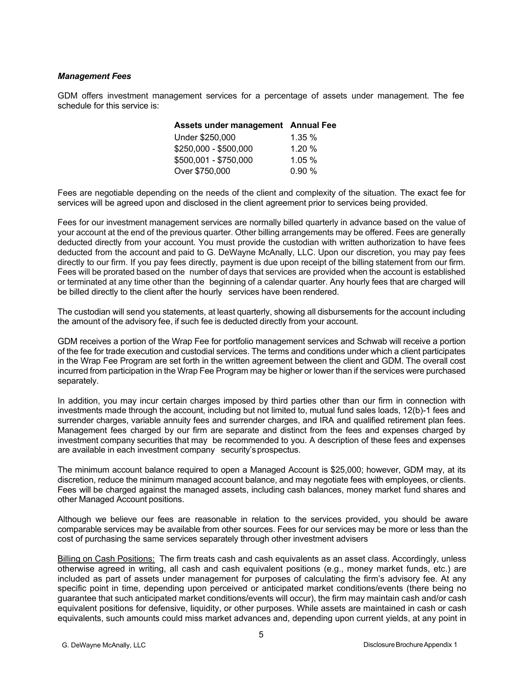## <span id="page-4-0"></span>*Management Fees*

GDM offers investment management services for a percentage of assets under management. The fee schedule for this service is:

| Assets under management Annual Fee |       |
|------------------------------------|-------|
| Under \$250,000                    | 1.35% |
| \$250,000 - \$500,000              | 1.20% |
| \$500,001 - \$750,000              | 1.05% |
| Over \$750,000                     | 0.90% |

Fees are negotiable depending on the needs of the client and complexity of the situation. The exact fee for services will be agreed upon and disclosed in the client agreement prior to services being provided.

Fees for our investment management services are normally billed quarterly in advance based on the value of your account at the end of the previous quarter. Other billing arrangements may be offered. Fees are generally deducted directly from your account. You must provide the custodian with written authorization to have fees deducted from the account and paid to G. DeWayne McAnally, LLC. Upon our discretion, you may pay fees directly to our firm. If you pay fees directly, payment is due upon receipt of the billing statement from our firm. Fees will be prorated based on the number of days that services are provided when the account is established or terminated at any time other than the beginning of a calendar quarter. Any hourly fees that are charged will be billed directly to the client after the hourly services have been rendered.

The custodian will send you statements, at least quarterly, showing all disbursements for the account including the amount of the advisory fee, if such fee is deducted directly from your account.

GDM receives a portion of the Wrap Fee for portfolio management services and Schwab will receive a portion of the fee for trade execution and custodial services. The terms and conditions under which a client participates in the Wrap Fee Program are set forth in the written agreement between the client and GDM. The overall cost incurred from participation in the Wrap Fee Program may be higher or lower than if the services were purchased separately.

In addition, you may incur certain charges imposed by third parties other than our firm in connection with investments made through the account, including but not limited to, mutual fund sales loads, 12(b)-1 fees and surrender charges, variable annuity fees and surrender charges, and IRA and qualified retirement plan fees. Management fees charged by our firm are separate and distinct from the fees and expenses charged by investment company securities that may be recommended to you. A description of these fees and expenses are available in each investment company security's prospectus.

The minimum account balance required to open a Managed Account is \$25,000; however, GDM may, at its discretion, reduce the minimum managed account balance, and may negotiate fees with employees, or clients. Fees will be charged against the managed assets, including cash balances, money market fund shares and other Managed Account positions.

Although we believe our fees are reasonable in relation to the services provided, you should be aware comparable services may be available from other sources. Fees for our services may be more or less than the cost of purchasing the same services separately through other investment advisers

Billing on Cash Positions: The firm treats cash and cash equivalents as an asset class. Accordingly, unless otherwise agreed in writing, all cash and cash equivalent positions (e.g., money market funds, etc.) are included as part of assets under management for purposes of calculating the firm's advisory fee. At any specific point in time, depending upon perceived or anticipated market conditions/events (there being no guarantee that such anticipated market conditions/events will occur), the firm may maintain cash and/or cash equivalent positions for defensive, liquidity, or other purposes. While assets are maintained in cash or cash equivalents, such amounts could miss market advances and, depending upon current yields, at any point in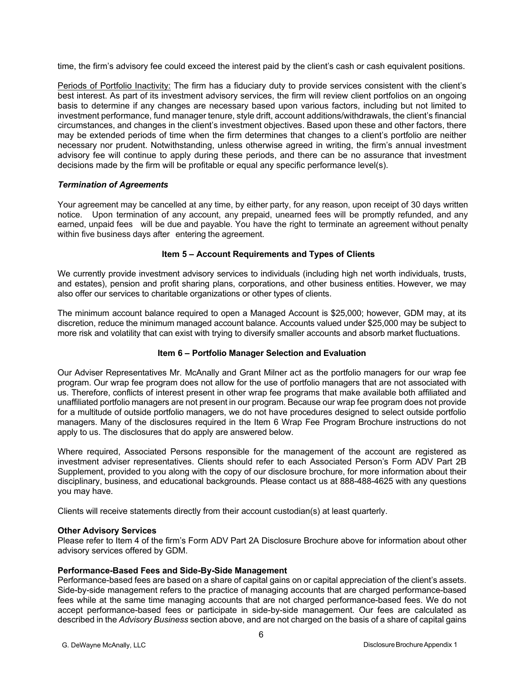time, the firm's advisory fee could exceed the interest paid by the client's cash or cash equivalent positions.

Periods of Portfolio Inactivity: The firm has a fiduciary duty to provide services consistent with the client's best interest. As part of its investment advisory services, the firm will review client portfolios on an ongoing basis to determine if any changes are necessary based upon various factors, including but not limited to investment performance, fund manager tenure, style drift, account additions/withdrawals, the client's financial circumstances, and changes in the client's investment objectives. Based upon these and other factors, there may be extended periods of time when the firm determines that changes to a client's portfolio are neither necessary nor prudent. Notwithstanding, unless otherwise agreed in writing, the firm's annual investment advisory fee will continue to apply during these periods, and there can be no assurance that investment decisions made by the firm will be profitable or equal any specific performance level(s).

# <span id="page-5-0"></span>*Termination of Agreements*

Your agreement may be cancelled at any time, by either party, for any reason, upon receipt of 30 days written notice. Upon termination of any account, any prepaid, unearned fees will be promptly refunded, and any earned, unpaid fees will be due and payable. You have the right to terminate an agreement without penalty within five business days after entering the agreement.

## **Item 5 – Account Requirements and Types of Clients**

<span id="page-5-1"></span>We currently provide investment advisory services to individuals (including high net worth individuals, trusts, and estates), pension and profit sharing plans, corporations, and other business entities. However, we may also offer our services to charitable organizations or other types of clients.

The minimum account balance required to open a Managed Account is \$25,000; however, GDM may, at its discretion, reduce the minimum managed account balance. Accounts valued under \$25,000 may be subject to more risk and volatility that can exist with trying to diversify smaller accounts and absorb market fluctuations.

# **Item 6 – Portfolio Manager Selection and Evaluation**

<span id="page-5-2"></span>Our Adviser Representatives Mr. McAnally and Grant Milner act as the portfolio managers for our wrap fee program. Our wrap fee program does not allow for the use of portfolio managers that are not associated with us. Therefore, conflicts of interest present in other wrap fee programs that make available both affiliated and unaffiliated portfolio managers are not present in our program. Because our wrap fee program does not provide for a multitude of outside portfolio managers, we do not have procedures designed to select outside portfolio managers. Many of the disclosures required in the Item 6 Wrap Fee Program Brochure instructions do not apply to us. The disclosures that do apply are answered below.

Where required, Associated Persons responsible for the management of the account are registered as investment adviser representatives. Clients should refer to each Associated Person's Form ADV Part 2B Supplement, provided to you along with the copy of our disclosure brochure, for more information about their disciplinary, business, and educational backgrounds. Please contact us at 888-488-4625 with any questions you may have.

Clients will receive statements directly from their account custodian(s) at least quarterly.

### **Other Advisory Services**

Please refer to Item 4 of the firm's Form ADV Part 2A Disclosure Brochure above for information about other advisory services offered by GDM.

## **Performance-Based Fees and Side-By-Side Management**

Performance-based fees are based on a share of capital gains on or capital appreciation of the client's assets. Side-by-side management refers to the practice of managing accounts that are charged performance-based fees while at the same time managing accounts that are not charged performance-based fees. We do not accept performance-based fees or participate in side-by-side management. Our fees are calculated as described in the *Advisory Business* section above, and are not charged on the basis of a share of capital gains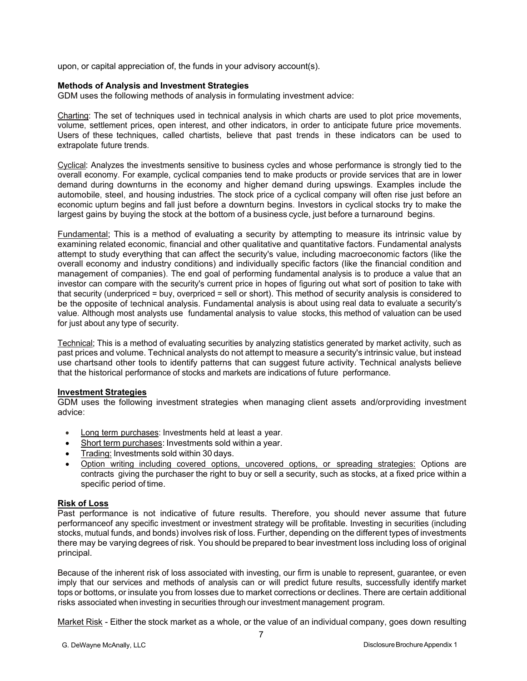upon, or capital appreciation of, the funds in your advisory account(s).

#### **Methods of Analysis and Investment Strategies**

GDM uses the following methods of analysis in formulating investment advice:

Charting: The set of techniques used in technical analysis in which charts are used to plot price movements, volume, settlement prices, open interest, and other indicators, in order to anticipate future price movements. Users of these techniques, called chartists, believe that past trends in these indicators can be used to extrapolate future trends.

Cyclical: Analyzes the investments sensitive to business cycles and whose performance is strongly tied to the overall economy. For example, cyclical companies tend to make products or provide services that are in lower demand during downturns in the economy and higher demand during upswings. Examples include the automobile, steel, and housing industries. The stock price of a cyclical company will often rise just before an economic upturn begins and fall just before a downturn begins. Investors in cyclical stocks try to make the largest gains by buying the stock at the bottom of a business cycle, just before a turnaround begins.

Fundamental; This is a method of evaluating a security by attempting to measure its intrinsic value by examining related economic, financial and other qualitative and quantitative factors. Fundamental analysts attempt to study everything that can affect the security's value, including macroeconomic factors (like the overall economy and industry conditions) and individually specific factors (like the financial condition and management of companies). The end goal of performing fundamental analysis is to produce a value that an investor can compare with the security's current price in hopes of figuring out what sort of position to take with that security (underpriced = buy, overpriced = sell or short). This method of security analysis is considered to be the opposite of technical analysis. Fundamental analysis is about using real data to evaluate a security's value. Although most analysts use fundamental analysis to value stocks, this method of valuation can be used for just about any type of security.

Technical; This is a method of evaluating securities by analyzing statistics generated by market activity, such as past prices and volume. Technical analysts do not attempt to measure a security's intrinsic value, but instead use chartsand other tools to identify patterns that can suggest future activity. Technical analysts believe that the historical performance of stocks and markets are indications of future performance.

### **Investment Strategies**

GDM uses the following investment strategies when managing client assets and/orproviding investment advice:

- Long term purchases: Investments held at least a year.
- Short term purchases: Investments sold within a year.
- Trading: Investments sold within 30 days.
- Option writing including covered options, uncovered options, or spreading strategies: Options are contracts giving the purchaser the right to buy or sell a security, such as stocks, at a fixed price within a specific period of time.

### **Risk of Loss**

Past performance is not indicative of future results. Therefore, you should never assume that future performanceof any specific investment or investment strategy will be profitable. Investing in securities (including stocks, mutual funds, and bonds) involves risk of loss. Further, depending on the different types of investments there may be varying degrees of risk. You should be prepared to bear investment loss including loss of original principal.

Because of the inherent risk of loss associated with investing, our firm is unable to represent, guarantee, or even imply that our services and methods of analysis can or will predict future results, successfully identify market tops or bottoms, or insulate you from losses due to market corrections or declines. There are certain additional risks associated when investing in securities through our investment management program.

Market Risk - Either the stock market as a whole, or the value of an individual company, goes down resulting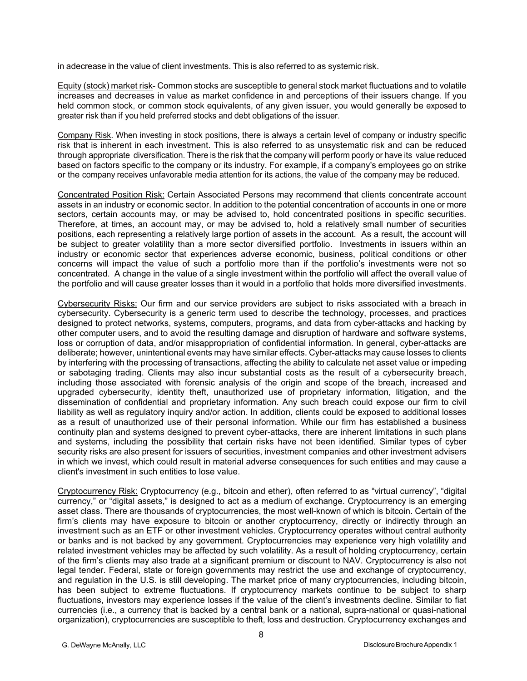in adecrease in the value of client investments. This is also referred to as systemic risk.

Equity (stock) market risk- Common stocks are susceptible to general stock market fluctuations and to volatile increases and decreases in value as market confidence in and perceptions of their issuers change. If you held common stock, or common stock equivalents, of any given issuer, you would generally be exposed to greater risk than if you held preferred stocks and debt obligations of the issuer.

Company Risk. When investing in stock positions, there is always a certain level of company or industry specific risk that is inherent in each investment. This is also referred to as unsystematic risk and can be reduced through appropriate diversification. There is the risk that the company will perform poorly or have its value reduced based on factors specific to the company or its industry. For example, if a company's employees go on strike or the company receives unfavorable media attention for its actions, the value of the company may be reduced.

Concentrated Position Risk: Certain Associated Persons may recommend that clients concentrate account assets in an industry or economic sector. In addition to the potential concentration of accounts in one or more sectors, certain accounts may, or may be advised to, hold concentrated positions in specific securities. Therefore, at times, an account may, or may be advised to, hold a relatively small number of securities positions, each representing a relatively large portion of assets in the account. As a result, the account will be subject to greater volatility than a more sector diversified portfolio. Investments in issuers within an industry or economic sector that experiences adverse economic, business, political conditions or other concerns will impact the value of such a portfolio more than if the portfolio's investments were not so concentrated. A change in the value of a single investment within the portfolio will affect the overall value of the portfolio and will cause greater losses than it would in a portfolio that holds more diversified investments.

Cybersecurity Risks: Our firm and our service providers are subject to risks associated with a breach in cybersecurity. Cybersecurity is a generic term used to describe the technology, processes, and practices designed to protect networks, systems, computers, programs, and data from cyber-attacks and hacking by other computer users, and to avoid the resulting damage and disruption of hardware and software systems, loss or corruption of data, and/or misappropriation of confidential information. In general, cyber-attacks are deliberate; however, unintentional events may have similar effects. Cyber-attacks may cause losses to clients by interfering with the processing of transactions, affecting the ability to calculate net asset value or impeding or sabotaging trading. Clients may also incur substantial costs as the result of a cybersecurity breach, including those associated with forensic analysis of the origin and scope of the breach, increased and upgraded cybersecurity, identity theft, unauthorized use of proprietary information, litigation, and the dissemination of confidential and proprietary information. Any such breach could expose our firm to civil liability as well as regulatory inquiry and/or action. In addition, clients could be exposed to additional losses as a result of unauthorized use of their personal information. While our firm has established a business continuity plan and systems designed to prevent cyber-attacks, there are inherent limitations in such plans and systems, including the possibility that certain risks have not been identified. Similar types of cyber security risks are also present for issuers of securities, investment companies and other investment advisers in which we invest, which could result in material adverse consequences for such entities and may cause a client's investment in such entities to lose value.

Cryptocurrency Risk: Cryptocurrency (e.g., bitcoin and ether), often referred to as "virtual currency", "digital currency," or "digital assets," is designed to act as a medium of exchange. Cryptocurrency is an emerging asset class. There are thousands of cryptocurrencies, the most well-known of which is bitcoin. Certain of the firm's clients may have exposure to bitcoin or another cryptocurrency, directly or indirectly through an investment such as an ETF or other investment vehicles. Cryptocurrency operates without central authority or banks and is not backed by any government. Cryptocurrencies may experience very high volatility and related investment vehicles may be affected by such volatility. As a result of holding cryptocurrency, certain of the firm's clients may also trade at a significant premium or discount to NAV. Cryptocurrency is also not legal tender. Federal, state or foreign governments may restrict the use and exchange of cryptocurrency, and regulation in the U.S. is still developing. The market price of many cryptocurrencies, including bitcoin, has been subject to extreme fluctuations. If cryptocurrency markets continue to be subject to sharp fluctuations, investors may experience losses if the value of the client's investments decline. Similar to fiat currencies (i.e., a currency that is backed by a central bank or a national, supra-national or quasi-national organization), cryptocurrencies are susceptible to theft, loss and destruction. Cryptocurrency exchanges and

8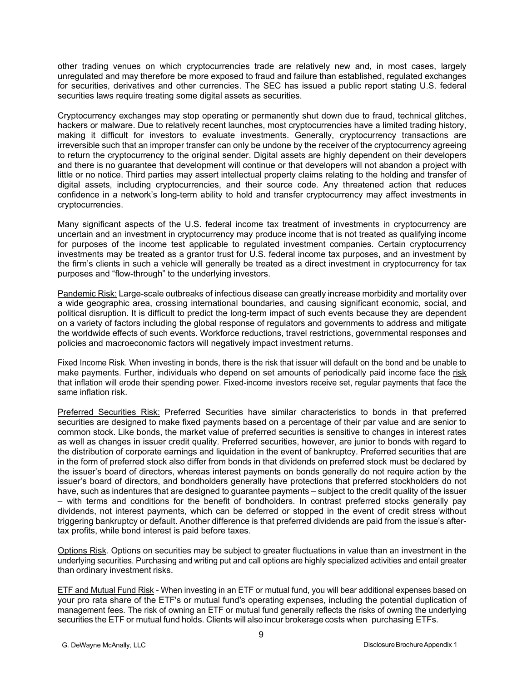other trading venues on which cryptocurrencies trade are relatively new and, in most cases, largely unregulated and may therefore be more exposed to fraud and failure than established, regulated exchanges for securities, derivatives and other currencies. The SEC has issued a public report stating U.S. federal securities laws require treating some digital assets as securities.

Cryptocurrency exchanges may stop operating or permanently shut down due to fraud, technical glitches, hackers or malware. Due to relatively recent launches, most cryptocurrencies have a limited trading history, making it difficult for investors to evaluate investments. Generally, cryptocurrency transactions are irreversible such that an improper transfer can only be undone by the receiver of the cryptocurrency agreeing to return the cryptocurrency to the original sender. Digital assets are highly dependent on their developers and there is no guarantee that development will continue or that developers will not abandon a project with little or no notice. Third parties may assert intellectual property claims relating to the holding and transfer of digital assets, including cryptocurrencies, and their source code. Any threatened action that reduces confidence in a network's long-term ability to hold and transfer cryptocurrency may affect investments in cryptocurrencies.

Many significant aspects of the U.S. federal income tax treatment of investments in cryptocurrency are uncertain and an investment in cryptocurrency may produce income that is not treated as qualifying income for purposes of the income test applicable to regulated investment companies. Certain cryptocurrency investments may be treated as a grantor trust for U.S. federal income tax purposes, and an investment by the firm's clients in such a vehicle will generally be treated as a direct investment in cryptocurrency for tax purposes and "flow-through" to the underlying investors.

Pandemic Risk: Large-scale outbreaks of infectious disease can greatly increase morbidity and mortality over a wide geographic area, crossing international boundaries, and causing significant economic, social, and political disruption. It is difficult to predict the long-term impact of such events because they are dependent on a variety of factors including the global response of regulators and governments to address and mitigate the worldwide effects of such events. Workforce reductions, travel restrictions, governmental responses and policies and macroeconomic factors will negatively impact investment returns.

Fixed Income Risk. When investing in bonds, there is the risk that issuer will default on the bond and be unable to make payments. Further, individuals who depend on set amounts of periodically paid income face the risk that inflation will erode their spending power. Fixed-income investors receive set, regular payments that face the same inflation risk.

Preferred Securities Risk: Preferred Securities have similar characteristics to bonds in that preferred securities are designed to make fixed payments based on a percentage of their par value and are senior to common stock. Like bonds, the market value of preferred securities is sensitive to changes in interest rates as well as changes in issuer credit quality. Preferred securities, however, are junior to bonds with regard to the distribution of corporate earnings and liquidation in the event of bankruptcy. Preferred securities that are in the form of preferred stock also differ from bonds in that dividends on preferred stock must be declared by the issuer's board of directors, whereas interest payments on bonds generally do not require action by the issuer's board of directors, and bondholders generally have protections that preferred stockholders do not have, such as indentures that are designed to guarantee payments – subject to the credit quality of the issuer – with terms and conditions for the benefit of bondholders. In contrast preferred stocks generally pay dividends, not interest payments, which can be deferred or stopped in the event of credit stress without triggering bankruptcy or default. Another difference is that preferred dividends are paid from the issue's aftertax profits, while bond interest is paid before taxes.

Options Risk. Options on securities may be subject to greater fluctuations in value than an investment in the underlying securities. Purchasing and writing put and call options are highly specialized activities and entail greater than ordinary investment risks.

ETF and Mutual Fund Risk - When investing in an ETF or mutual fund, you will bear additional expenses based on your pro rata share of the ETF's or mutual fund's operating expenses, including the potential duplication of management fees. The risk of owning an ETF or mutual fund generally reflects the risks of owning the underlying securities the ETF or mutual fund holds. Clients will also incur brokerage costs when purchasing ETFs.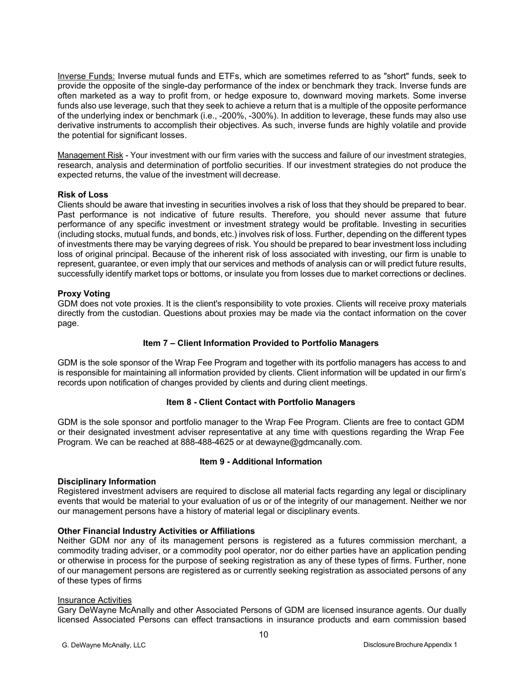Inverse Funds: Inverse mutual funds and ETFs, which are sometimes referred to as "short" funds, seek to provide the opposite of the single-day performance of the index or benchmark they track. Inverse funds are often marketed as a way to profit from, or hedge exposure to, downward moving markets. Some inverse funds also use leverage, such that they seek to achieve a return that is a multiple of the opposite performance of the underlying index or benchmark (i.e., -200%, -300%). In addition to leverage, these funds may also use derivative instruments to accomplish their objectives. As such, inverse funds are highly volatile and provide the potential for significant losses.

Management Risk - Your investment with our firm varies with the success and failure of our investment strategies, research, analysis and determination of portfolio securities. If our investment strategies do not produce the expected returns, the value of the investment will decrease.

### **Risk of Loss**

Clients should be aware that investing in securities involves a risk of loss that they should be prepared to bear. Past performance is not indicative of future results. Therefore, you should never assume that future performance of any specific investment or investment strategy would be profitable. Investing in securities (including stocks, mutual funds, and bonds, etc.) involves risk of loss. Further, depending on the different types of investments there may be varying degrees of risk. You should be prepared to bear investment loss including loss of original principal. Because of the inherent risk of loss associated with investing, our firm is unable to represent, guarantee, or even imply that our services and methods of analysis can or will predict future results, successfully identify market tops or bottoms, or insulate you from losses due to market corrections or declines.

## **Proxy Voting**

GDM does not vote proxies. It is the client's responsibility to vote proxies. Clients will receive proxy materials directly from the custodian. Questions about proxies may be made via the contact information on the cover page.

# **Item 7 – Client Information Provided to Portfolio Managers**

<span id="page-9-0"></span>GDM is the sole sponsor of the Wrap Fee Program and together with its portfolio managers has access to and is responsible for maintaining all information provided by clients. Client information will be updated in our firm's records upon notification of changes provided by clients and during client meetings.

### **Item 8 - Client Contact with Portfolio Managers**

<span id="page-9-1"></span>GDM is the sole sponsor and portfolio manager to the Wrap Fee Program. Clients are free to contact GDM or their designated investment adviser representative at any time with questions regarding the Wrap Fee Program. We can be reached at 888-488-4625 or at dewayne@gdmcanally.com.

### **Item 9 - Additional Information**

### <span id="page-9-2"></span>**Disciplinary Information**

Registered investment advisers are required to disclose all material facts regarding any legal or disciplinary events that would be material to your evaluation of us or of the integrity of our management. Neither we nor our management persons have a history of material legal or disciplinary events.

### **Other Financial Industry Activities or Affiliations**

Neither GDM nor any of its management persons is registered as a futures commission merchant, a commodity trading adviser, or a commodity pool operator, nor do either parties have an application pending or otherwise in process for the purpose of seeking registration as any of these types of firms. Further, none of our management persons are registered as or currently seeking registration as associated persons of any of these types of firms

### Insurance Activities

Gary DeWayne McAnally and other Associated Persons of GDM are licensed insurance agents. Our dually licensed Associated Persons can effect transactions in insurance products and earn commission based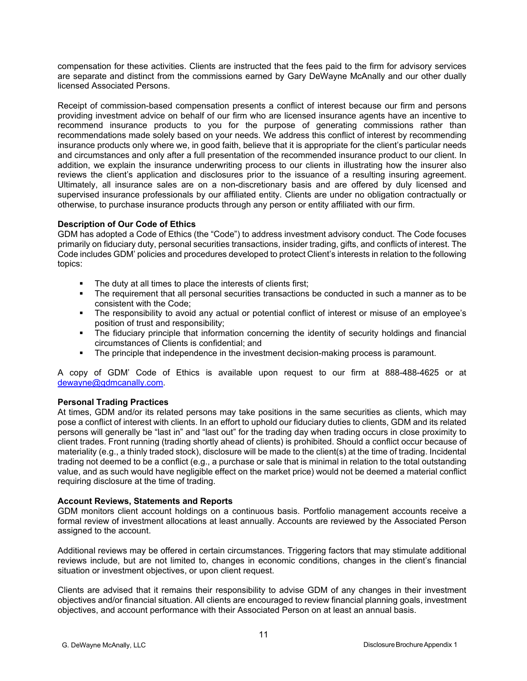compensation for these activities. Clients are instructed that the fees paid to the firm for advisory services are separate and distinct from the commissions earned by Gary DeWayne McAnally and our other dually licensed Associated Persons.

Receipt of commission-based compensation presents a conflict of interest because our firm and persons providing investment advice on behalf of our firm who are licensed insurance agents have an incentive to recommend insurance products to you for the purpose of generating commissions rather than recommendations made solely based on your needs. We address this conflict of interest by recommending insurance products only where we, in good faith, believe that it is appropriate for the client's particular needs and circumstances and only after a full presentation of the recommended insurance product to our client. In addition, we explain the insurance underwriting process to our clients in illustrating how the insurer also reviews the client's application and disclosures prior to the issuance of a resulting insuring agreement. Ultimately, all insurance sales are on a non-discretionary basis and are offered by duly licensed and supervised insurance professionals by our affiliated entity. Clients are under no obligation contractually or otherwise, to purchase insurance products through any person or entity affiliated with our firm.

## **Description of Our Code of Ethics**

GDM has adopted a Code of Ethics (the "Code") to address investment advisory conduct. The Code focuses primarily on fiduciary duty, personal securities transactions, insider trading, gifts, and conflicts of interest. The Code includes GDM' policies and procedures developed to protect Client's interests in relation to the following topics:

- The duty at all times to place the interests of clients first;
- The requirement that all personal securities transactions be conducted in such a manner as to be consistent with the Code;
- The responsibility to avoid any actual or potential conflict of interest or misuse of an employee's position of trust and responsibility;
- The fiduciary principle that information concerning the identity of security holdings and financial circumstances of Clients is confidential; and
- **The principle that independence in the investment decision-making process is paramount.**

A copy of GDM' Code of Ethics is available upon request to our firm at 888-488-4625 or at [dewayne@gdmcanally.com.](mailto:dewayne@gdmcanally.com)

# **Personal Trading Practices**

At times, GDM and/or its related persons may take positions in the same securities as clients, which may pose a conflict of interest with clients. In an effort to uphold our fiduciary duties to clients, GDM and its related persons will generally be "last in" and "last out" for the trading day when trading occurs in close proximity to client trades. Front running (trading shortly ahead of clients) is prohibited. Should a conflict occur because of materiality (e.g., a thinly traded stock), disclosure will be made to the client(s) at the time of trading. Incidental trading not deemed to be a conflict (e.g., a purchase or sale that is minimal in relation to the total outstanding value, and as such would have negligible effect on the market price) would not be deemed a material conflict requiring disclosure at the time of trading.

### **Account Reviews, Statements and Reports**

GDM monitors client account holdings on a continuous basis. Portfolio management accounts receive a formal review of investment allocations at least annually. Accounts are reviewed by the Associated Person assigned to the account.

Additional reviews may be offered in certain circumstances. Triggering factors that may stimulate additional reviews include, but are not limited to, changes in economic conditions, changes in the client's financial situation or investment objectives, or upon client request.

Clients are advised that it remains their responsibility to advise GDM of any changes in their investment objectives and/or financial situation. All clients are encouraged to review financial planning goals, investment objectives, and account performance with their Associated Person on at least an annual basis.